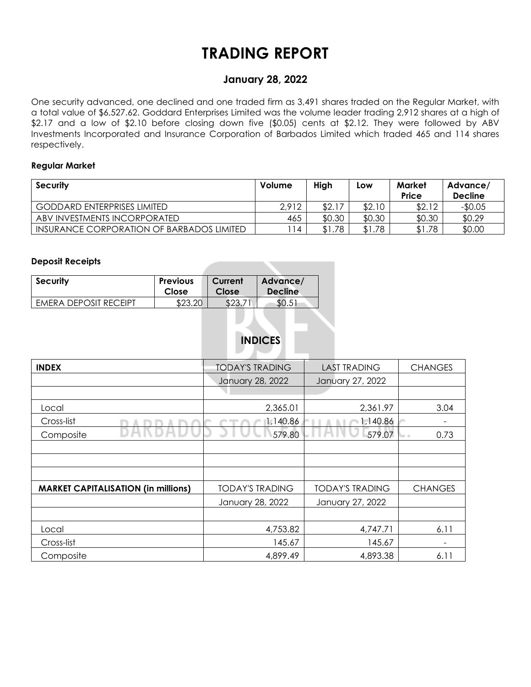## **TRADING REPORT**

#### **January 28, 2022**

One security advanced, one declined and one traded firm as 3,491 shares traded on the Regular Market, with a total value of \$6,527.62. Goddard Enterprises Limited was the volume leader trading 2,912 shares at a high of \$2.17 and a low of \$2.10 before closing down five (\$0.05) cents at \$2.12. They were followed by ABV Investments Incorporated and Insurance Corporation of Barbados Limited which traded 465 and 114 shares respectively.

#### **Regular Market**

| <b>Security</b>                           | <b>Volume</b> | High   | Low    | Market<br>Price | Advance/<br><b>Decline</b> |
|-------------------------------------------|---------------|--------|--------|-----------------|----------------------------|
| <b>GODDARD ENTERPRISES LIMITED</b>        | 2,912         | \$2.17 | \$2.10 | \$2.12          | $-$0.05$                   |
| ABV INVESTMENTS INCORPORATED              | 465           | \$0.30 | \$0.30 | \$0.30          | \$0.29                     |
| INSURANCE CORPORATION OF BARBADOS LIMITED | 14            | \$1.78 | \$1.78 | \$1.78          | \$0.00                     |

#### **Deposit Receipts**

| <b>Security</b>              | <b>Previous</b> | Current | Advance/       |
|------------------------------|-----------------|---------|----------------|
|                              | Close           | Close   | <b>Decline</b> |
| <b>EMERA DEPOSIT RECEIPT</b> | \$23.20         | ຕຕລ     | \$0.5          |

### **INDICES**

| <b>INDEX</b>                               | <b>TODAY'S TRADING</b> | <b>LAST TRADING</b>    | <b>CHANGES</b> |
|--------------------------------------------|------------------------|------------------------|----------------|
|                                            | January 28, 2022       | January 27, 2022       |                |
|                                            |                        |                        |                |
| Local                                      | 2,365.01               | 2,361.97               | 3.04           |
| Cross-list                                 | 1,140.86               | 1,140.86               |                |
| Composite                                  | 579.80                 | 579.07                 | 0.73<br>ta e   |
|                                            |                        |                        |                |
|                                            |                        |                        |                |
|                                            |                        |                        |                |
| <b>MARKET CAPITALISATION (in millions)</b> | <b>TODAY'S TRADING</b> | <b>TODAY'S TRADING</b> | <b>CHANGES</b> |
|                                            | January 28, 2022       | January 27, 2022       |                |
|                                            |                        |                        |                |
| Local                                      | 4,753.82               | 4,747.71               | 6.11           |
| Cross-list                                 | 145.67                 | 145.67                 |                |
| Composite                                  | 4,899.49               | 4,893.38               | 6.11           |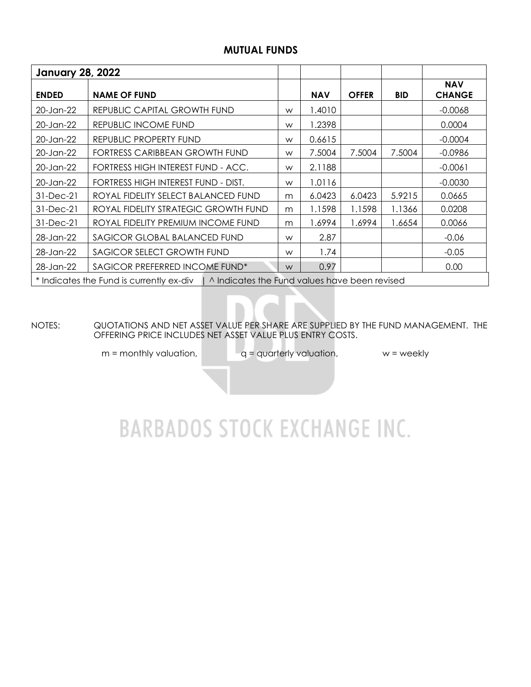#### **MUTUAL FUNDS**

| <b>January 28, 2022</b> |                                                                                          |   |            |              |        |                             |
|-------------------------|------------------------------------------------------------------------------------------|---|------------|--------------|--------|-----------------------------|
| <b>ENDED</b>            | <b>NAME OF FUND</b>                                                                      |   | <b>NAV</b> | <b>OFFER</b> | BID    | <b>NAV</b><br><b>CHANGE</b> |
| 20-Jan-22               | REPUBLIC CAPITAL GROWTH FUND                                                             | W | 1.4010     |              |        | $-0.0068$                   |
| 20-Jan-22               | REPUBLIC INCOME FUND                                                                     | W | 1.2398     |              |        | 0.0004                      |
| 20-Jan-22               | REPUBLIC PROPERTY FUND                                                                   | W | 0.6615     |              |        | $-0.0004$                   |
| 20-Jan-22               | FORTRESS CARIBBEAN GROWTH FUND                                                           | W | 7.5004     | 7.5004       | 7.5004 | -0.0986                     |
| 20-Jan-22               | FORTRESS HIGH INTEREST FUND - ACC.                                                       | W | 2.1188     |              |        | $-0.0061$                   |
| 20-Jan-22               | FORTRESS HIGH INTEREST FUND - DIST.                                                      | W | 1.0116     |              |        | $-0.0030$                   |
| $31-Dec-21$             | ROYAL FIDELITY SELECT BALANCED FUND                                                      | m | 6.0423     | 6.0423       | 5.9215 | 0.0665                      |
| $31-Dec-21$             | ROYAL FIDELITY STRATEGIC GROWTH FUND                                                     | m | 1.1598     | 1.1598       | 1.1366 | 0.0208                      |
| $31-Dec-21$             | ROYAL FIDELITY PREMIUM INCOME FUND                                                       | m | 1.6994     | 1.6994       | 1.6654 | 0.0066                      |
| 28-Jan-22               | SAGICOR GLOBAL BALANCED FUND                                                             | W | 2.87       |              |        | $-0.06$                     |
| 28-Jan-22               | SAGICOR SELECT GROWTH FUND                                                               | W | 1.74       |              |        | $-0.05$                     |
| 28-Jan-22               | SAGICOR PREFERRED INCOME FUND*                                                           | W | 0.97       |              |        | 0.00                        |
|                         | * Indicates the Fund is currently ex-div   ^ Indicates the Fund values have been revised |   |            |              |        |                             |

NOTES: QUOTATIONS AND NET ASSET VALUE PER SHARE ARE SUPPLIED BY THE FUND MANAGEMENT. THE OFFERING PRICE INCLUDES NET ASSET VALUE PLUS ENTRY COSTS.

 $m =$  monthly valuation,  $q =$  q  $=$  quarterly valuation,  $q =$  w  $=$  weekly

# **BARBADOS STOCK EXCHANGE INC.**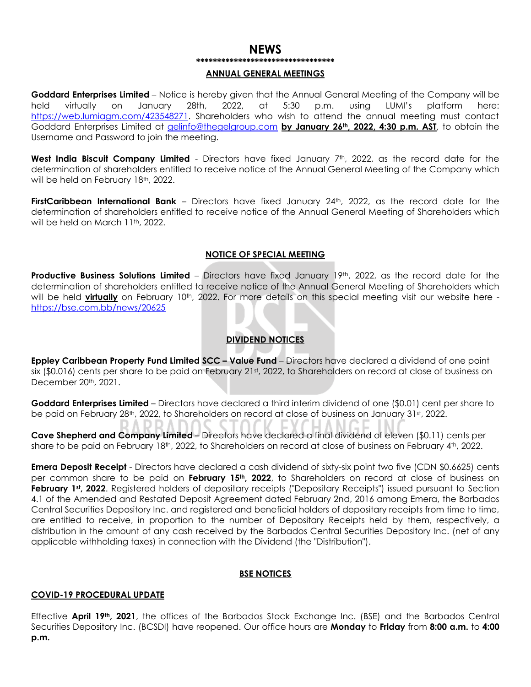#### **NEWS \*\*\*\*\*\*\*\*\*\*\*\*\*\*\*\*\*\*\*\*\*\*\*\*\*\*\*\*\*\*\*\*\* ANNUAL GENERAL MEETINGS**

**Goddard Enterprises Limited** – Notice is hereby given that the Annual General Meeting of the Company will be held virtually on January 28th, 2022, at 5:30 p.m. using LUMI's platform here: [https://web.lumiagm.com/423548271.](https://web.lumiagm.com/423548271) Shareholders who wish to attend the annual meeting must contact Goddard Enterprises Limited at [gelinfo@thegelgroup.com](mailto:gelinfo@thegelgroup.com) **by January 26th, 2022, 4:30 p.m. AST**, to obtain the Username and Password to join the meeting.

**West India Biscuit Company Limited** - Directors have fixed January 7<sup>th</sup>, 2022, as the record date for the determination of shareholders entitled to receive notice of the Annual General Meeting of the Company which will be held on February 18th, 2022.

**FirstCaribbean International Bank** – Directors have fixed January 24<sup>th</sup>, 2022, as the record date for the determination of shareholders entitled to receive notice of the Annual General Meeting of Shareholders which will be held on March 11th, 2022.

#### **NOTICE OF SPECIAL MEETING**

**Productive Business Solutions Limited** – Directors have fixed January 19th, 2022, as the record date for the determination of shareholders entitled to receive notice of the Annual General Meeting of Shareholders which will be held **virtually** on February 10<sup>th</sup>, 2022. For more details on this special meeting visit our website here <https://bse.com.bb/news/20625>

#### **DIVIDEND NOTICES**

**Eppley Caribbean Property Fund Limited SCC – Value Fund** – Directors have declared a dividend of one point six (\$0.016) cents per share to be paid on February 21st , 2022, to Shareholders on record at close of business on December 20<sup>th</sup>, 2021.

**Goddard Enterprises Limited** – Directors have declared a third interim dividend of one (\$0.01) cent per share to be paid on February 28<sup>th</sup>, 2022, to Shareholders on record at close of business on January 31st, 2022.

**Cave Shepherd and Company Limited** – Directors have declared a final dividend of eleven (\$0.11) cents per share to be paid on February 18th, 2022, to Shareholders on record at close of business on February 4th, 2022.

**Emera Deposit Receipt** - Directors have declared a cash dividend of sixty-six point two five (CDN \$0.6625) cents per common share to be paid on **February 15th, 2022**, to Shareholders on record at close of business on **February 1<sup>st</sup>, 2022**. Registered holders of depositary receipts ("Depositary Receipts") issued pursuant to Section 4.1 of the Amended and Restated Deposit Agreement dated February 2nd, 2016 among Emera, the Barbados Central Securities Depository Inc. and registered and beneficial holders of depositary receipts from time to time, are entitled to receive, in proportion to the number of Depositary Receipts held by them, respectively, a distribution in the amount of any cash received by the Barbados Central Securities Depository Inc. (net of any applicable withholding taxes) in connection with the Dividend (the "Distribution").

#### **BSE NOTICES**

#### **COVID-19 PROCEDURAL UPDATE**

Effective **April 19th, 2021**, the offices of the Barbados Stock Exchange Inc. (BSE) and the Barbados Central Securities Depository Inc. (BCSDI) have reopened. Our office hours are **Monday** to **Friday** from **8:00 a.m.** to **4:00 p.m.**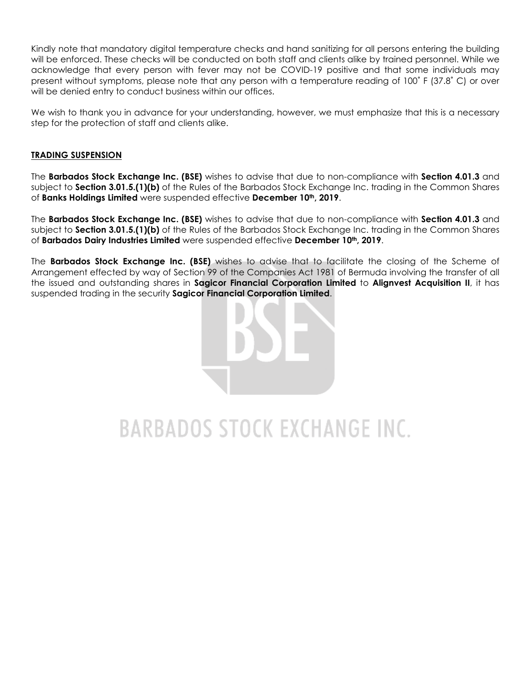Kindly note that mandatory digital temperature checks and hand sanitizing for all persons entering the building will be enforced. These checks will be conducted on both staff and clients alike by trained personnel. While we acknowledge that every person with fever may not be COVID-19 positive and that some individuals may present without symptoms, please note that any person with a temperature reading of 100˚ F (37.8˚ C) or over will be denied entry to conduct business within our offices.

We wish to thank you in advance for your understanding, however, we must emphasize that this is a necessary step for the protection of staff and clients alike.

#### **TRADING SUSPENSION**

The **Barbados Stock Exchange Inc. (BSE)** wishes to advise that due to non-compliance with **Section 4.01.3** and subject to **Section 3.01.5.(1)(b)** of the Rules of the Barbados Stock Exchange Inc. trading in the Common Shares of **Banks Holdings Limited** were suspended effective **December 10th, 2019**.

The **Barbados Stock Exchange Inc. (BSE)** wishes to advise that due to non-compliance with **Section 4.01.3** and subject to **Section 3.01.5.(1)(b)** of the Rules of the Barbados Stock Exchange Inc. trading in the Common Shares of **Barbados Dairy Industries Limited** were suspended effective **December 10th, 2019**.

The **Barbados Stock Exchange Inc. (BSE)** wishes to advise that to facilitate the closing of the Scheme of Arrangement effected by way of Section 99 of the Companies Act 1981 of Bermuda involving the transfer of all the issued and outstanding shares in **Sagicor Financial Corporation Limited** to **Alignvest Acquisition II**, it has suspended trading in the security **Sagicor Financial Corporation Limited**.



**BARBADOS STOCK EXCHANGE INC.**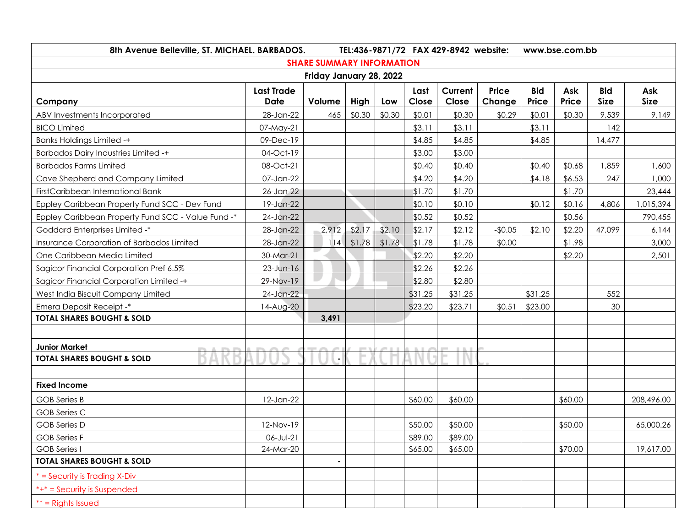| 8th Avenue Belleville, ST. MICHAEL. BARBADOS.      |                           |                                  |        |        |               | TEL:436-9871/72 FAX 429-8942 website: |                 |                            | www.bse.com.bb |                           |                    |
|----------------------------------------------------|---------------------------|----------------------------------|--------|--------|---------------|---------------------------------------|-----------------|----------------------------|----------------|---------------------------|--------------------|
|                                                    |                           | <b>SHARE SUMMARY INFORMATION</b> |        |        |               |                                       |                 |                            |                |                           |                    |
|                                                    |                           | Friday January 28, 2022          |        |        |               |                                       |                 |                            |                |                           |                    |
| Company                                            | <b>Last Trade</b><br>Date | Volume                           | High   | Low    | Last<br>Close | Current<br>Close                      | Price<br>Change | <b>Bid</b><br><b>Price</b> | Ask<br>Price   | <b>Bid</b><br><b>Size</b> | Ask<br><b>Size</b> |
| ABV Investments Incorporated                       | 28-Jan-22                 | 465                              | \$0.30 | \$0.30 | \$0.01        | \$0.30                                | \$0.29          | \$0.01                     | \$0.30         | 9,539                     | 9,149              |
| <b>BICO Limited</b>                                | 07-May-21                 |                                  |        |        | \$3.11        | \$3.11                                |                 | \$3.11                     |                | 142                       |                    |
| <b>Banks Holdings Limited -+</b>                   | 09-Dec-19                 |                                  |        |        | \$4.85        | \$4.85                                |                 | \$4.85                     |                | 14,477                    |                    |
| <b>Barbados Dairy Industries Limited -+</b>        | 04-Oct-19                 |                                  |        |        | \$3.00        | \$3.00                                |                 |                            |                |                           |                    |
| <b>Barbados Farms Limited</b>                      | 08-Oct-21                 |                                  |        |        | \$0.40        | \$0.40                                |                 | \$0.40                     | \$0.68         | 1,859                     | 1,600              |
| Cave Shepherd and Company Limited                  | 07-Jan-22                 |                                  |        |        | \$4.20        | \$4.20                                |                 | \$4.18                     | \$6.53         | 247                       | 1,000              |
| FirstCaribbean International Bank                  | 26-Jan-22                 |                                  |        |        | \$1.70        | \$1.70                                |                 |                            | \$1.70         |                           | 23,444             |
| Eppley Caribbean Property Fund SCC - Dev Fund      | 19-Jan-22                 |                                  |        |        | \$0.10        | \$0.10                                |                 | \$0.12                     | \$0.16         | 4,806                     | ,015,394           |
| Eppley Caribbean Property Fund SCC - Value Fund -* | 24-Jan-22                 |                                  |        |        | \$0.52        | \$0.52                                |                 |                            | \$0.56         |                           | 790,455            |
| <b>Goddard Enterprises Limited -*</b>              | 28-Jan-22                 | 2,912                            | \$2.17 | \$2.10 | \$2.17        | \$2.12                                | $-$0.05$        | \$2.10                     | \$2.20         | 47,099                    | 6,144              |
| Insurance Corporation of Barbados Limited          | 28-Jan-22                 | 114                              | \$1.78 | \$1.78 | \$1.78        | \$1.78                                | \$0.00          |                            | \$1.98         |                           | 3,000              |
| One Caribbean Media Limited                        | 30-Mar-21                 |                                  |        |        | \$2.20        | \$2.20                                |                 |                            | \$2.20         |                           | 2,501              |
| Sagicor Financial Corporation Pref 6.5%            | 23-Jun-16                 |                                  |        |        | \$2.26        | \$2.26                                |                 |                            |                |                           |                    |
| Sagicor Financial Corporation Limited -+           | 29-Nov-19                 |                                  |        |        | \$2.80        | \$2.80                                |                 |                            |                |                           |                    |
| West India Biscuit Company Limited                 | 24-Jan-22                 |                                  |        |        | \$31.25       | \$31.25                               |                 | \$31.25                    |                | 552                       |                    |
| Emera Deposit Receipt -*                           | 14-Aug-20                 |                                  |        |        | \$23.20       | \$23.71                               | \$0.51          | \$23.00                    |                | 30                        |                    |
| <b>TOTAL SHARES BOUGHT &amp; SOLD</b>              |                           | 3,491                            |        |        |               |                                       |                 |                            |                |                           |                    |
|                                                    |                           |                                  |        |        |               |                                       |                 |                            |                |                           |                    |
| <b>Junior Market</b>                               |                           |                                  |        |        |               |                                       |                 |                            |                |                           |                    |
| <b>TOTAL SHARES BOUGHT &amp; SOLD</b>              |                           |                                  |        |        |               |                                       |                 |                            |                |                           |                    |
|                                                    |                           |                                  |        |        |               |                                       |                 |                            |                |                           |                    |
| <b>Fixed Income</b>                                |                           |                                  |        |        |               |                                       |                 |                            |                |                           |                    |
| <b>GOB</b> Series B                                | 12-Jan-22                 |                                  |        |        | \$60.00       | \$60.00                               |                 |                            | \$60.00        |                           | 208,496.00         |
| <b>GOB Series C</b>                                |                           |                                  |        |        |               |                                       |                 |                            |                |                           |                    |
| <b>GOB Series D</b>                                | 12-Nov-19                 |                                  |        |        | \$50.00       | \$50.00                               |                 |                            | \$50.00        |                           | 65,000.26          |
| <b>GOB Series F</b>                                | 06-Jul-21                 |                                  |        |        | \$89.00       | \$89.00                               |                 |                            |                |                           |                    |
| <b>GOB</b> Series I                                | 24-Mar-20                 |                                  |        |        | \$65.00       | \$65.00                               |                 |                            | \$70.00        |                           | 19,617.00          |
| <b>TOTAL SHARES BOUGHT &amp; SOLD</b>              |                           |                                  |        |        |               |                                       |                 |                            |                |                           |                    |
| * = Security is Trading X-Div                      |                           |                                  |        |        |               |                                       |                 |                            |                |                           |                    |
| *+* = Security is Suspended                        |                           |                                  |        |        |               |                                       |                 |                            |                |                           |                    |
| $**$ = Rights Issued                               |                           |                                  |        |        |               |                                       |                 |                            |                |                           |                    |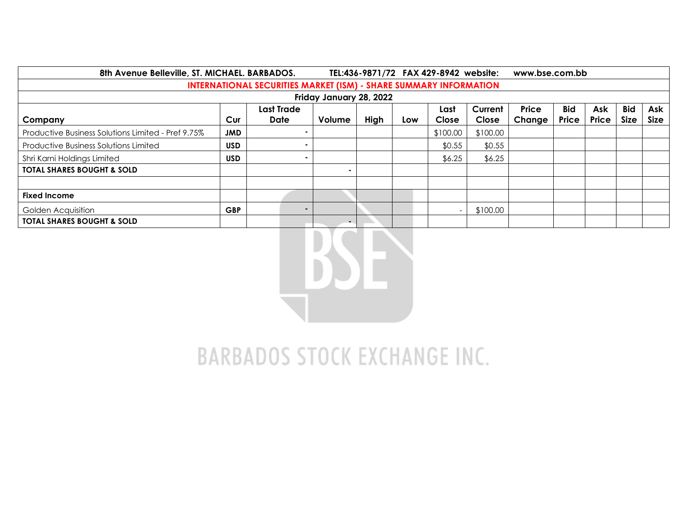| TEL:436-9871/72 FAX 429-8942 website:<br>8th Avenue Belleville, ST. MICHAEL. BARBADOS. |            |                |                | www.bse.com.bb |     |          |          |              |            |            |             |             |
|----------------------------------------------------------------------------------------|------------|----------------|----------------|----------------|-----|----------|----------|--------------|------------|------------|-------------|-------------|
| <b>INTERNATIONAL SECURITIES MARKET (ISM) - SHARE SUMMARY INFORMATION</b>               |            |                |                |                |     |          |          |              |            |            |             |             |
| Friday January 28, 2022                                                                |            |                |                |                |     |          |          |              |            |            |             |             |
|                                                                                        |            | Last Trade     |                |                |     | Last     | Current  | <b>Price</b> | <b>Bid</b> | <b>Ask</b> | <b>Bid</b>  | Ask         |
| Company                                                                                | Cur        | <b>Date</b>    | Volume         | High           | Low | Close    | Close    | Change       | Price      | Price      | <b>Size</b> | <b>Size</b> |
| Productive Business Solutions Limited - Pref 9.75%                                     | <b>JMD</b> |                |                |                |     | \$100.00 | \$100.00 |              |            |            |             |             |
| <b>Productive Business Solutions Limited</b>                                           | <b>USD</b> |                |                |                |     | \$0.55   | \$0.55   |              |            |            |             |             |
| Shri Karni Holdings Limited                                                            | <b>USD</b> |                |                |                |     | \$6.25   | \$6.25   |              |            |            |             |             |
| <b>TOTAL SHARES BOUGHT &amp; SOLD</b>                                                  |            |                |                |                |     |          |          |              |            |            |             |             |
|                                                                                        |            |                |                |                |     |          |          |              |            |            |             |             |
| <b>Fixed Income</b>                                                                    |            |                |                |                |     |          |          |              |            |            |             |             |
| <b>Golden Acquisition</b>                                                              | <b>GBP</b> | $\blacksquare$ |                |                |     |          | \$100.00 |              |            |            |             |             |
| <b>TOTAL SHARES BOUGHT &amp; SOLD</b>                                                  |            |                | $\blacksquare$ |                |     |          |          |              |            |            |             |             |



# **BARBADOS STOCK EXCHANGE INC.**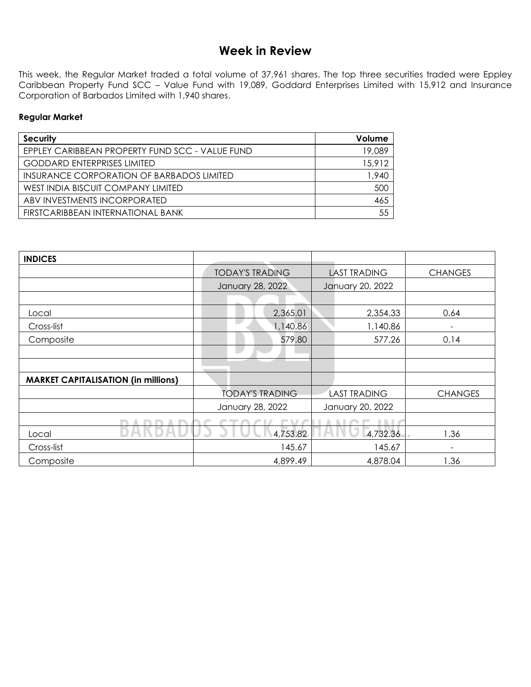### **Week in Review**

This week, the Regular Market traded a total volume of 37,961 shares. The top three securities traded were Eppley Caribbean Property Fund SCC – Value Fund with 19,089, Goddard Enterprises Limited with 15,912 and Insurance Corporation of Barbados Limited with 1,940 shares.

#### **Regular Market**

| Security                                        | Volume |
|-------------------------------------------------|--------|
| EPPLEY CARIBBEAN PROPERTY FUND SCC - VALUE FUND | 19,089 |
| <b>GODDARD ENTERPRISES LIMITED</b>              | 15,912 |
| INSURANCE CORPORATION OF BARBADOS LIMITED       | 1,940  |
| WEST INDIA BISCUIT COMPANY LIMITED              | 500    |
| ABV INVESTMENTS INCORPORATED                    | 465    |
| FIRSTCARIBBEAN INTERNATIONAL BANK               | 55     |

| <b>INDICES</b>                             |                        |                     |                |
|--------------------------------------------|------------------------|---------------------|----------------|
|                                            | <b>TODAY'S TRADING</b> | <b>LAST TRADING</b> | <b>CHANGES</b> |
|                                            | January 28, 2022       | January 20, 2022    |                |
|                                            |                        |                     |                |
| Local                                      | 2,365.01               | 2,354.33            | 0.64           |
| Cross-list                                 | 1,140.86               | 1,140.86            | ۰              |
| Composite                                  | 579.80                 | 577.26              | 0.14           |
|                                            |                        |                     |                |
|                                            |                        |                     |                |
| <b>MARKET CAPITALISATION (in millions)</b> |                        |                     |                |
|                                            | <b>TODAY'S TRADING</b> | <b>LAST TRADING</b> | <b>CHANGES</b> |
|                                            | January 28, 2022       | January 20, 2022    |                |
|                                            |                        |                     |                |
| Local                                      | 4,753.82               | 4,732.36            | 1.36           |
| Cross-list                                 | 145.67                 | 145.67              | -              |
| Composite                                  | 4,899.49               | 4,878.04            | 1.36           |